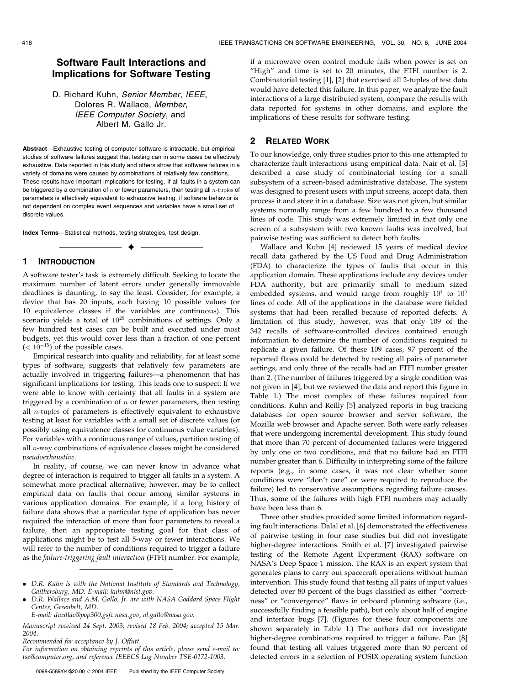# Software Fault Interactions and Implications for Software Testing

D. Richard Kuhn, Senior Member, IEEE, Dolores R. Wallace, Member, IEEE Computer Society, and Albert M. Gallo Jr.

Abstract—Exhaustive testing of computer software is intractable, but empirical studies of software failures suggest that testing can in some cases be effectively exhaustive. Data reported in this study and others show that software failures in a variety of domains were caused by combinations of relatively few conditions. These results have important implications for testing. If all faults in a system can be triggered by a combination of  $n$  or fewer parameters, then testing all  $n$ -tuples of parameters is effectively equivalent to exhaustive testing, if software behavior is not dependent on complex event sequences and variables have a small set of discrete values.

 $\rightarrow$ 

Index Terms—Statistical methods, testing strategies, test design.

## 1 INTRODUCTION

A software tester's task is extremely difficult. Seeking to locate the maximum number of latent errors under generally immovable deadlines is daunting, to say the least. Consider, for example, a device that has 20 inputs, each having 10 possible values (or 10 equivalence classes if the variables are continuous). This scenario yields a total of  $10^{20}$  combinations of settings. Only a few hundred test cases can be built and executed under most budgets, yet this would cover less than a fraction of one percent  $(< 10^{-15})$  of the possible cases.

Empirical research into quality and reliability, for at least some types of software, suggests that relatively few parameters are actually involved in triggering failures—a phenomenon that has significant implications for testing. This leads one to suspect: If we were able to know with certainty that all faults in a system are triggered by a combination of  $n$  or fewer parameters, then testing all  $n$ -tuples of parameters is effectively equivalent to exhaustive testing at least for variables with a small set of discrete values (or possibly using equivalence classes for continuous value variables). For variables with a continuous range of values, partition testing of all n-way combinations of equivalence classes might be considered pseudoexhaustive.

In reality, of course, we can never know in advance what degree of interaction is required to trigger all faults in a system. A somewhat more practical alternative, however, may be to collect empirical data on faults that occur among similar systems in various application domains. For example, if a long history of failure data shows that a particular type of application has never required the interaction of more than four parameters to reveal a failure, then an appropriate testing goal for that class of applications might be to test all 5-way or fewer interactions. We will refer to the number of conditions required to trigger a failure as the failure-triggering fault interaction (FTFI) number. For example,

E-mail: dwallac@pop300.gsfc.nasa.gov, al.gallo@nasa.gov.

Manuscript received 24 Sept. 2003; revised 18 Feb. 2004; accepted 15 Mar. 2004.

Recommended for acceptance by J. Offutt.

For information on obtaining reprints of this article, please send e-mail to: tse@computer.org, and reference IEEECS Log Number TSE-0172-1003.

if a microwave oven control module fails when power is set on "High" and time is set to 20 minutes, the FTFI number is 2. Combinatorial testing [1], [2] that exercised all 2-tuples of test data would have detected this failure. In this paper, we analyze the fault interactions of a large distributed system, compare the results with data reported for systems in other domains, and explore the implications of these results for software testing.

### 2 RELATED WORK

To our knowledge, only three studies prior to this one attempted to characterize fault interactions using empirical data. Nair et al. [3] described a case study of combinatorial testing for a small subsystem of a screen-based administrative database. The system was designed to present users with input screens, accept data, then process it and store it in a database. Size was not given, but similar systems normally range from a few hundred to a few thousand lines of code. This study was extremely limited in that only one screen of a subsystem with two known faults was involved, but pairwise testing was sufficient to detect both faults.

Wallace and Kuhn [4] reviewed 15 years of medical device recall data gathered by the US Food and Drug Administration (FDA) to characterize the types of faults that occur in this application domain. These applications include any devices under FDA authority, but are primarily small to medium sized embedded systems, and would range from roughly  $10^4$  to  $10^5$ lines of code. All of the applications in the database were fielded systems that had been recalled because of reported defects. A limitation of this study, however, was that only 109 of the 342 recalls of software-controlled devices contained enough information to determine the number of conditions required to replicate a given failure. Of these 109 cases, 97 percent of the reported flaws could be detected by testing all pairs of parameter settings, and only three of the recalls had an FTFI number greater than 2. (The number of failures triggered by a single condition was not given in [4], but we reviewed the data and report this figure in Table 1.) The most complex of these failures required four conditions. Kuhn and Reilly [5] analyzed reports in bug tracking databases for open source browser and server software, the Mozilla web browser and Apache server. Both were early releases that were undergoing incremental development. This study found that more than 70 percent of documented failures were triggered by only one or two conditions, and that no failure had an FTFI number greater than 6. Difficulty in interpreting some of the failure reports (e.g., in some cases, it was not clear whether some conditions were "don't care" or were required to reproduce the failure) led to conservative assumptions regarding failure causes. Thus, some of the failures with high FTFI numbers may actually have been less than 6.

Three other studies provided some limited information regarding fault interactions. Dalal et al. [6] demonstrated the effectiveness of pairwise testing in four case studies but did not investigate higher-degree interactions. Smith et al. [7] investigated pairwise testing of the Remote Agent Experiment (RAX) software on NASA's Deep Space 1 mission. The RAX is an expert system that generates plans to carry out spacecraft operations without human intervention. This study found that testing all pairs of input values detected over 80 percent of the bugs classified as either "correctness" or "convergence" flaws in onboard planning software (i.e., successfully finding a feasible path), but only about half of engine and interface bugs [7]. (Figures for these four components are shown separately in Table 1.) The authors did not investigate higher-degree combinations required to trigger a failure. Pan [8] found that testing all values triggered more than 80 percent of detected errors in a selection of POSIX operating system function

<sup>.</sup> D.R. Kuhn is with the National Institute of Standards and Technology, Gaithersburg, MD. E-mail: kuhn@nist.gov.

<sup>.</sup> D.R. Wallace and A.M. Gallo, Jr. are with NASA Goddard Space Flight Center, Greenbelt, MD.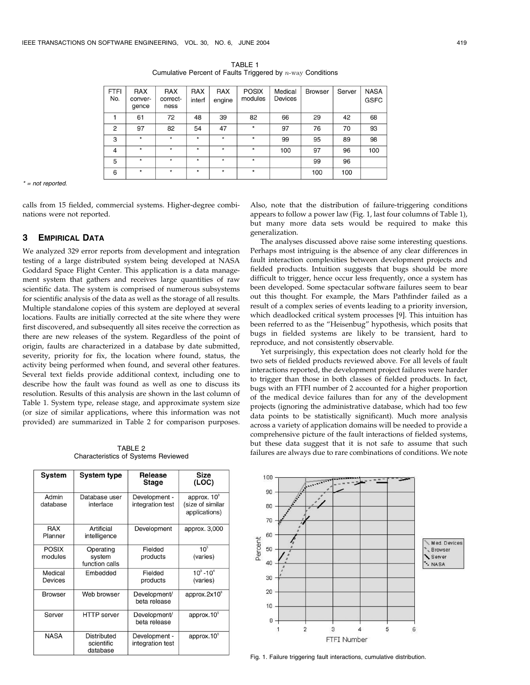| <b>FTFI</b><br>No. | <b>RAX</b><br>conver-<br>gence | <b>RAX</b><br>correct-<br>ness | <b>RAX</b><br>interf | <b>RAX</b><br>engine | <b>POSIX</b><br>modules | Medical<br><b>Devices</b> | <b>Browser</b> | Server | <b>NASA</b><br><b>GSFC</b> |
|--------------------|--------------------------------|--------------------------------|----------------------|----------------------|-------------------------|---------------------------|----------------|--------|----------------------------|
|                    | 61                             | 72                             | 48                   | 39                   | 82                      | 66                        | 29             | 42     | 68                         |
| 2                  | 97                             | 82                             | 54                   | 47                   | $\star$                 | 97                        | 76             | 70     | 93                         |
| 3                  | $\star$                        | $\star$                        | $\star$              | $\star$              | $\star$                 | 99                        | 95             | 89     | 98                         |
| $\overline{4}$     | $\star$                        | $\star$                        | $\star$              | $\star$              | $\star$                 | 100                       | 97             | 96     | 100                        |
| 5                  | $\star$                        | $\star$                        | $\star$              | $\star$              | $\star$                 |                           | 99             | 96     |                            |
| 6                  | $\star$                        | $\star$                        | $\star$              | $\star$              | $\star$                 |                           | 100            | 100    |                            |

TABLE 1 Cumulative Percent of Faults Triggered by  $n$ -way Conditions

 $* = not$  reported.

calls from 15 fielded, commercial systems. Higher-degree combinations were not reported.

# 3 EMPIRICAL DATA

We analyzed 329 error reports from development and integration testing of a large distributed system being developed at NASA Goddard Space Flight Center. This application is a data management system that gathers and receives large quantities of raw scientific data. The system is comprised of numerous subsystems for scientific analysis of the data as well as the storage of all results. Multiple standalone copies of this system are deployed at several locations. Faults are initially corrected at the site where they were first discovered, and subsequently all sites receive the correction as there are new releases of the system. Regardless of the point of origin, faults are characterized in a database by date submitted, severity, priority for fix, the location where found, status, the activity being performed when found, and several other features. Several text fields provide additional context, including one to describe how the fault was found as well as one to discuss its resolution. Results of this analysis are shown in the last column of Table 1. System type, release stage, and approximate system size (or size of similar applications, where this information was not provided) are summarized in Table 2 for comparison purposes.

TABLE 2 Characteristics of Systems Reviewed

| System                    | <b>System type</b>                           | Release<br>Stage                  | Size<br>(LOC)                                       |
|---------------------------|----------------------------------------------|-----------------------------------|-----------------------------------------------------|
| Admin<br>database         | Database user<br>interface                   | Development -<br>integration test | approx. $10^3$<br>(size of similar<br>applications) |
| <b>RAX</b><br>Planner     | Artificial<br>intelligence                   | Development                       | approx. 3,000                                       |
| <b>POSIX</b><br>modules   | Operating<br>system<br>function calls        | Fielded<br>products               | $10^3$<br>(varies)                                  |
| Medical<br><b>Devices</b> | Embedded                                     | Fielded<br>products               | $10^3 - 10^4$<br>(varies)                           |
| <b>Browser</b>            | Web browser                                  | Development/<br>beta release      | approx. $2x10^6$                                    |
| Server                    | <b>HTTP</b> server                           | Development/<br>beta release      | approx. $105$                                       |
| <b>NASA</b>               | <b>Distributed</b><br>scientific<br>database | Development -<br>integration test | approx. $105$                                       |

Also, note that the distribution of failure-triggering conditions appears to follow a power law (Fig. 1, last four columns of Table 1), but many more data sets would be required to make this generalization.

The analyses discussed above raise some interesting questions. Perhaps most intriguing is the absence of any clear differences in fault interaction complexities between development projects and fielded products. Intuition suggests that bugs should be more difficult to trigger, hence occur less frequently, once a system has been developed. Some spectacular software failures seem to bear out this thought. For example, the Mars Pathfinder failed as a result of a complex series of events leading to a priority inversion, which deadlocked critical system processes [9]. This intuition has been referred to as the "Heisenbug" hypothesis, which posits that bugs in fielded systems are likely to be transient, hard to reproduce, and not consistently observable.

Yet surprisingly, this expectation does not clearly hold for the two sets of fielded products reviewed above. For all levels of fault interactions reported, the development project failures were harder to trigger than those in both classes of fielded products. In fact, bugs with an FTFI number of 2 accounted for a higher proportion of the medical device failures than for any of the development projects (ignoring the administrative database, which had too few data points to be statistically significant). Much more analysis across a variety of application domains will be needed to provide a comprehensive picture of the fault interactions of fielded systems, but these data suggest that it is not safe to assume that such failures are always due to rare combinations of conditions. We note



Fig. 1. Failure triggering fault interactions, cumulative distribution.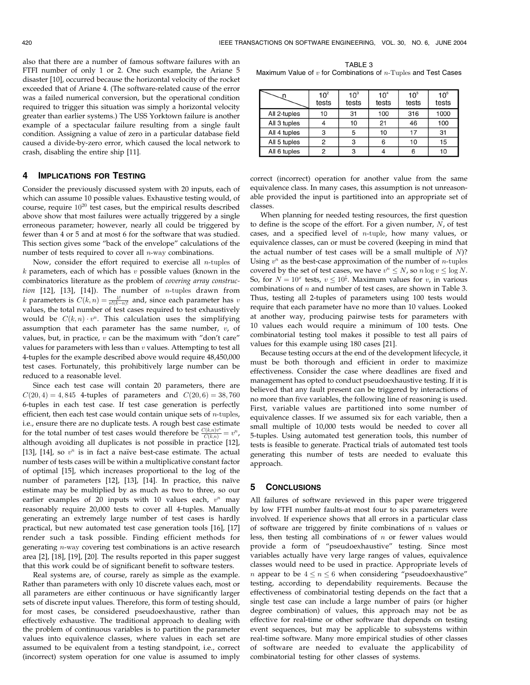also that there are a number of famous software failures with an FTFI number of only 1 or 2. One such example, the Ariane 5 disaster [10], occurred because the horizontal velocity of the rocket exceeded that of Ariane 4. (The software-related cause of the error was a failed numerical conversion, but the operational condition required to trigger this situation was simply a horizontal velocity greater than earlier systems.) The USS Yorktown failure is another example of a spectacular failure resulting from a single fault condition. Assigning a value of zero in a particular database field caused a divide-by-zero error, which caused the local network to crash, disabling the entire ship [11].

# 4 IMPLICATIONS FOR TESTING

Consider the previously discussed system with 20 inputs, each of which can assume 10 possible values. Exhaustive testing would, of course, require  $10^{20}$  test cases, but the empirical results described above show that most failures were actually triggered by a single erroneous parameter; however, nearly all could be triggered by fewer than 4 or 5 and at most 6 for the software that was studied. This section gives some "back of the envelope" calculations of the number of tests required to cover all n-way combinations.

Now, consider the effort required to exercise all  $n$ -tuples of  $k$  parameters, each of which has  $v$  possible values (known in the combinatorics literature as the problem of covering array construction  $[12]$ ,  $[13]$ ,  $[14]$ ). The number of *n*-tuples drawn from k parameters is  $C(k, n) = \frac{k!}{n!(k-n)!}$  and, since each parameter has v values, the total number of test cases required to test exhaustively would be  $C(k, n) \cdot v^n$ . This calculation uses the simplifying assumption that each parameter has the same number,  $v$ , of values, but, in practice,  $v$  can be the maximum with "don't care" values for parameters with less than  $v$  values. Attempting to test all 4-tuples for the example described above would require 48,450,000 test cases. Fortunately, this prohibitively large number can be reduced to a reasonable level.

Since each test case will contain 20 parameters, there are  $C(20, 4) = 4,845$  4-tuples of parameters and  $C(20, 6) = 38,760$ 6-tuples in each test case. If test case generation is perfectly efficient, then each test case would contain unique sets of  $n$ -tuples, i.e., ensure there are no duplicate tests. A rough best case estimate for the total number of test cases would therefore be  $\frac{C(k,n)v^n}{C(k,n)} = v^n$ , although avoiding all duplicates is not possible in practice [12], [13], [14], so  $v^n$  is in fact a naïve best-case estimate. The actual number of tests cases will be within a multiplicative constant factor of optimal [15], which increases proportional to the log of the number of parameters [12], [13], [14]. In practice, this naïve estimate may be multiplied by as much as two to three, so our earlier examples of 20 inputs with 10 values each,  $v^n$  may reasonably require 20,000 tests to cover all 4-tuples. Manually generating an extremely large number of test cases is hardly practical, but new automated test case generation tools [16], [17] render such a task possible. Finding efficient methods for generating n-way covering test combinations is an active research area [2], [18], [19], [20]. The results reported in this paper suggest that this work could be of significant benefit to software testers.

Real systems are, of course, rarely as simple as the example. Rather than parameters with only 10 discrete values each, most or all parameters are either continuous or have significantly larger sets of discrete input values. Therefore, this form of testing should, for most cases, be considered pseudoexhaustive, rather than effectively exhaustive. The traditional approach to dealing with the problem of continuous variables is to partition the parameter values into equivalence classes, where values in each set are assumed to be equivalent from a testing standpoint, i.e., correct (incorrect) system operation for one value is assumed to imply

TABLE 3 Maximum Value of  $v$  for Combinations of  $n$ -Tuples and Test Cases

|              | 10 <sup>2</sup><br>tests | $10^3$<br>tests | 10 <sup>4</sup><br>tests | 10 <sup>5</sup><br>tests | 10 <sup>6</sup><br>tests |
|--------------|--------------------------|-----------------|--------------------------|--------------------------|--------------------------|
| All 2-tuples | 10                       | 31              | 100                      | 316                      | 1000                     |
| All 3 tuples |                          | 10              | 21                       | 46                       | 100                      |
| All 4 tuples | 3                        |                 | 10                       | 17                       | 31                       |
| All 5 tuples | 2                        |                 | 6                        | 10                       | 15                       |
| All 6 tuples | っ                        |                 |                          |                          | 10                       |

correct (incorrect) operation for another value from the same equivalence class. In many cases, this assumption is not unreasonable provided the input is partitioned into an appropriate set of classes.

When planning for needed testing resources, the first question to define is the scope of the effort. For a given number,  $N$ , of test cases, and a specified level of n-tuple, how many values, or equivalence classes, can or must be covered (keeping in mind that the actual number of test cases will be a small multiple of  $N$ ? Using  $v^n$  as the best-case approximation of the number of *n*-tuples covered by the set of test cases, we have  $v^n \leq N$ , so  $n \log v \leq \log N$ . So, for  $N = 10^x$  tests,  $v \le 10^{\frac{x}{n}}$ . Maximum values for  $v$ , in various combinations of  $n$  and number of test cases, are shown in Table 3. Thus, testing all 2-tuples of parameters using 100 tests would require that each parameter have no more than 10 values. Looked at another way, producing pairwise tests for parameters with 10 values each would require a minimum of 100 tests. One combinatorial testing tool makes it possible to test all pairs of values for this example using 180 cases [21].

Because testing occurs at the end of the development lifecycle, it must be both thorough and efficient in order to maximize effectiveness. Consider the case where deadlines are fixed and management has opted to conduct pseudoexhaustive testing. If it is believed that any fault present can be triggered by interactions of no more than five variables, the following line of reasoning is used. First, variable values are partitioned into some number of equivalence classes. If we assumed six for each variable, then a small multiple of 10,000 tests would be needed to cover all 5-tuples. Using automated test generation tools, this number of tests is feasible to generate. Practical trials of automated test tools generating this number of tests are needed to evaluate this approach.

#### 5 CONCLUSIONS

All failures of software reviewed in this paper were triggered by low FTFI number faults-at most four to six parameters were involved. If experience shows that all errors in a particular class of software are triggered by finite combinations of  $n$  values or less, then testing all combinations of  $n$  or fewer values would provide a form of "pseudoexhaustive" testing. Since most variables actually have very large ranges of values, equivalence classes would need to be used in practice. Appropriate levels of *n* appear to be  $4 \le n \le 6$  when considering "pseudoexhaustive" testing, according to dependability requirements. Because the effectiveness of combinatorial testing depends on the fact that a single test case can include a large number of pairs (or higher degree combination) of values, this approach may not be as effective for real-time or other software that depends on testing event sequences, but may be applicable to subsystems within real-time software. Many more empirical studies of other classes of software are needed to evaluate the applicability of combinatorial testing for other classes of systems.